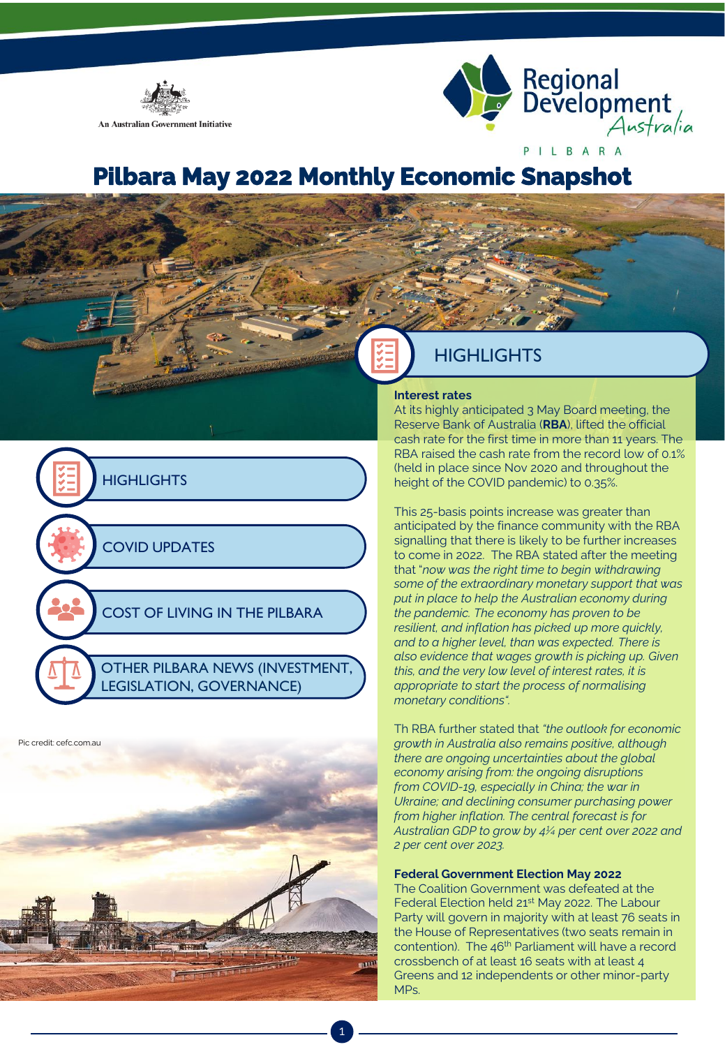



# **Pilbara May 2022 Monthly Economic Snapshot**





# **HIGHLIGHTS**

#### **Interest rates**

At its highly anticipated 3 May Board meeting, the Reserve Bank of Australia (**RBA**), lifted the official cash rate for the first time in more than 11 years. The RBA raised the cash rate from the record low of 0.1% (held in place since Nov 2020 and throughout the height of the COVID pandemic) to 0.35%.

This 25-basis points increase was greater than anticipated by the finance community with the RBA signalling that there is likely to be further increases to come in 2022. The RBA stated after the meeting that "*now was the right time to begin withdrawing some of the extraordinary monetary support that was put in place to help the Australian economy during the pandemic. The economy has proven to be resilient, and inflation has picked up more quickly, and to a higher level, than was expected. There is also evidence that wages growth is picking up. Given this, and the very low level of interest rates, it is appropriate to start the process of normalising monetary conditions".* 

Th RBA further stated that *"the outlook for economic growth in Australia also remains positive, although there are ongoing uncertainties about the global economy arising from: the ongoing disruptions from COVID-19, especially in China; the war in Ukraine; and declining consumer purchasing power from higher inflation. The central forecast is for Australian GDP to grow by 4¼ per cent over 2022 and 2 per cent over 2023.* 

#### **Federal Government Election May 2022**

The Coalition Government was defeated at the Federal Election held 21<sup>st</sup> May 2022. The Labour Party will govern in majority with at least 76 seats in the House of Representatives (two seats remain in contention). The 46<sup>th</sup> Parliament will have a record crossbench of at least 16 seats with at least 4 Greens and 12 independents or other minor-party MPs.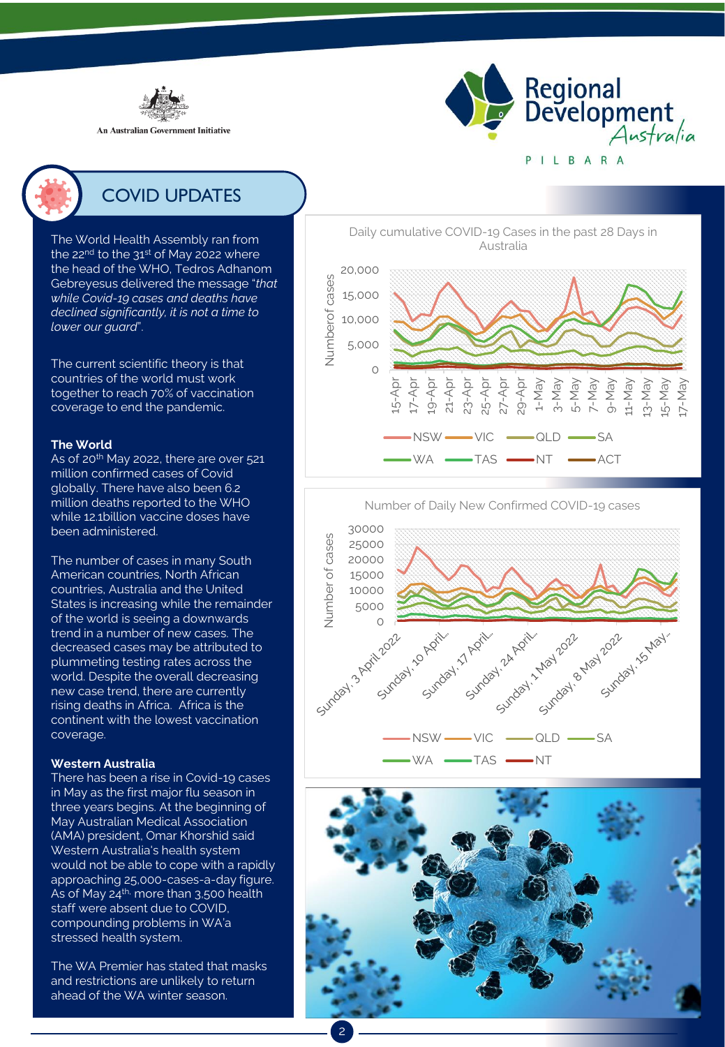

**An Australian Government Initiative** 





# COVID UPDATES

The World Health Assembly ran from the  $22<sup>nd</sup>$  to the  $31<sup>st</sup>$  of May 2022 where the head of the WHO, Tedros Adhanom Gebreyesus delivered the message "*that while Covid-19 cases and deaths have declined significantly, it is not a time to lower our guard*".

The current scientific theory is that countries of the world must work together to reach 70% of vaccination coverage to end the pandemic.

#### **The World**

As of 20<sup>th</sup> May 2022, there are over 521 million confirmed cases of Covid globally. There have also been 6.2 million deaths reported to the WHO while 12.1billion vaccine doses have been administered.

The number of cases in many South American countries, North African countries, Australia and the United States is increasing while the remainder of the world is seeing a downwards trend in a number of new cases. The decreased cases may be attributed to plummeting testing rates across the world. Despite the overall decreasing new case trend, there are currently rising deaths in Africa. Africa is the continent with the lowest vaccination coverage.

### **Western Australia**

There has been a rise in Covid-19 cases in May as the first major flu season in three years begins. At the beginning of May Australian Medical Association (AMA) president, Omar Khorshid said Western Australia's health system would not be able to cope with a rapidly approaching 25,000-cases-a-day figure. As of May  $24<sup>th</sup>$  more than 3,500 health staff were absent due to COVID, compounding problems in WA'a stressed health system.

The WA Premier has stated that masks and restrictions are unlikely to return ahead of the WA winter season.

Daily cumulative COVID-19 Cases in the past 28 Days in Australia



Number of Daily New Confirmed COVID-19 cases



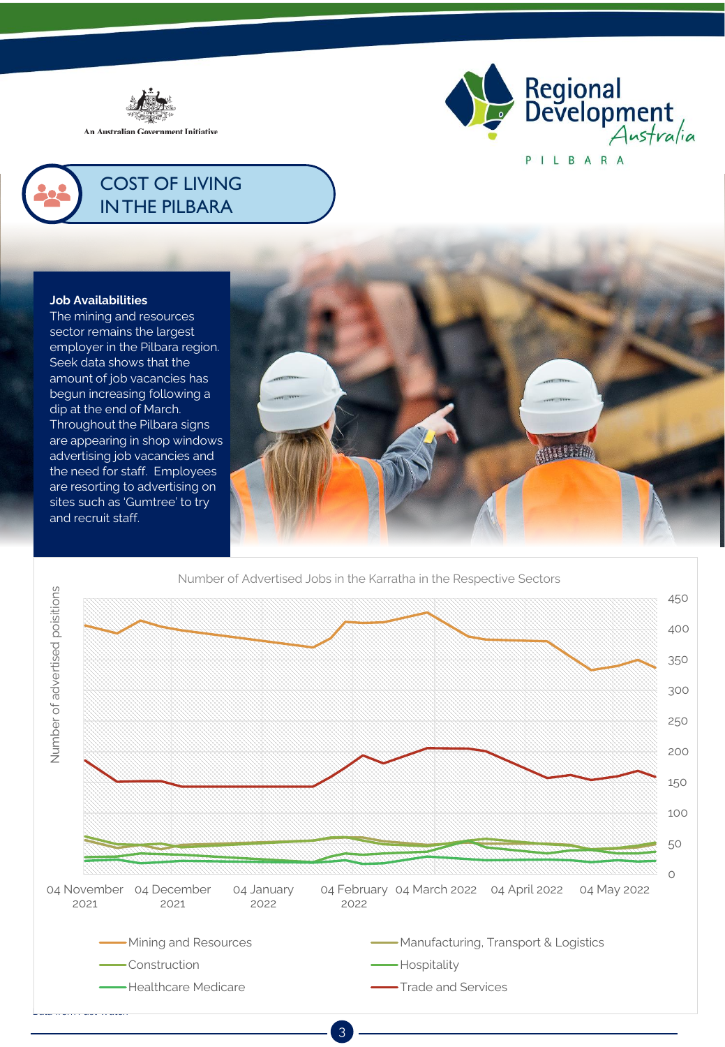



# COST OF LIVING IN THE PILBARA

### **Job Availabilities**

The mining and resources sector remains the largest employer in the Pilbara region. Seek data shows that the amount of job vacancies has begun increasing following a dip at the end of March. Throughout the Pilbara signs are appearing in shop windows advertising job vacancies and the need for staff. Employees are resorting to advertising on sites such as 'Gumtree' to try and recruit staff.



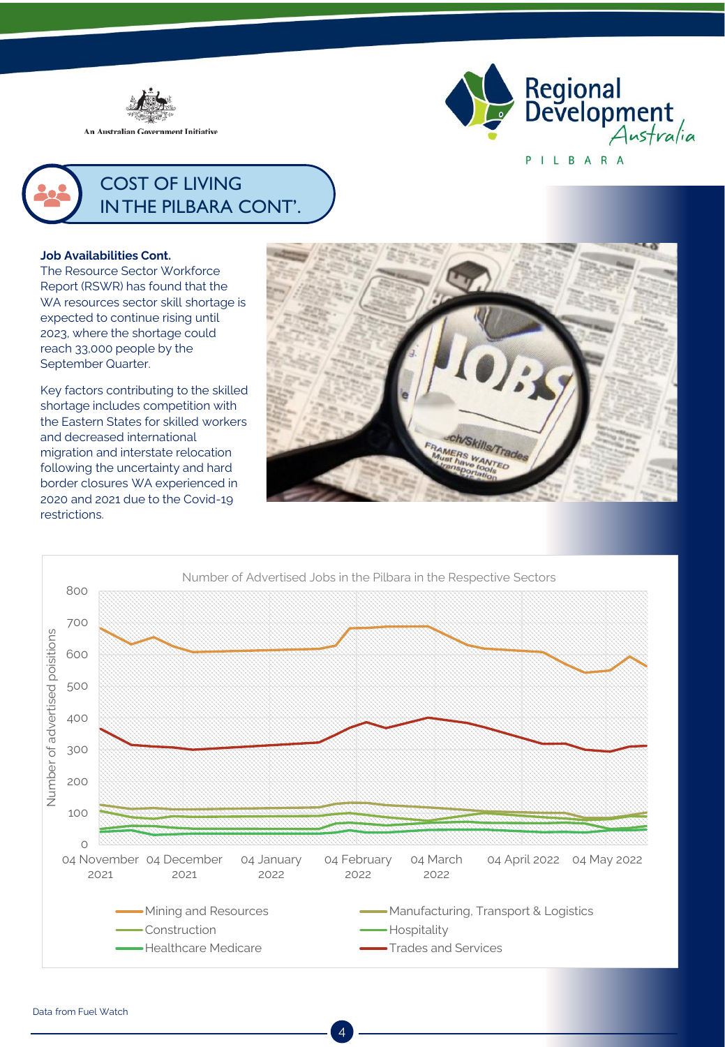

An Australian Government Initiative





### **Job Availabilities Cont.**

The Resource Sector Workforce Report (RSWR) has found that the WA resources sector skill shortage is expected to continue rising until 2023, where the shortage could reach 33,000 people by the September Quarter.

Key factors contributing to the skilled shortage includes competition with the Eastern States for skilled workers and decreased international migration and interstate relocation following the uncertainty and hard border closures WA experienced in 2020 and 2021 due to the Covid-19 restrictions.



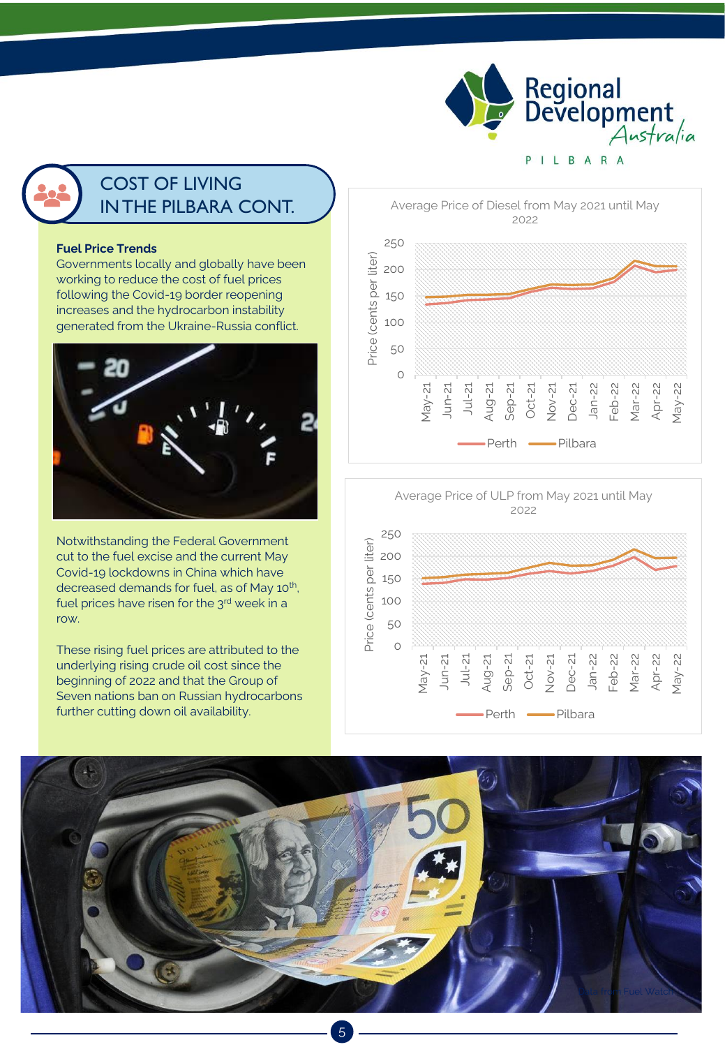

# COST OF LIVING IN THE PILBARA CONT.

#### **Fuel Price Trends**

Governments locally and globally have been working to reduce the cost of fuel prices following the Covid-19 border reopening increases and the hydrocarbon instability generated from the Ukraine-Russia conflict.



Notwithstanding the Federal Government cut to the fuel excise and the current May Covid-19 lockdowns in China which have decreased demands for fuel, as of May 10<sup>th</sup>, fuel prices have risen for the 3rd week in a row.

These rising fuel prices are attributed to the underlying rising crude oil cost since the beginning of 2022 and that the Group of Seven nations ban on Russian hydrocarbons further cutting down oil availability.

Average Price of Diesel from May 2021 until May 2022 250 Price (cents per liter) Price (cents per liter) 200 150 100 50  $\circ$ May-21 Jun-21 Jul-21 Sep-21 Dec-21 Jan-22 Feb-22 Mar-22 Apr-22 Aug-21 Oct-21 Nov-21 May-22 Perth -Pilbara